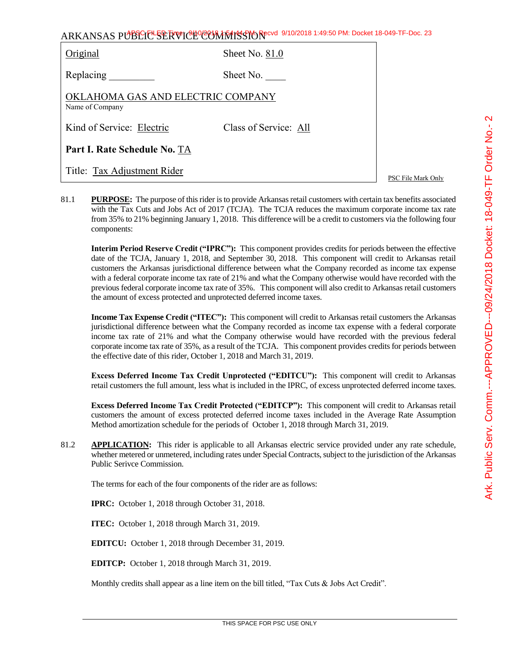| ARKANSAS PUBLIC SERVICHO COMMISSION 8/10/2018 1:49:50 PM: Docket 18-049-TF-Doc. 23 |
|------------------------------------------------------------------------------------|
|------------------------------------------------------------------------------------|

| Original                                             | Sheet No. $81.0$      |  |  |  |  |
|------------------------------------------------------|-----------------------|--|--|--|--|
| Replacing                                            | Sheet No.             |  |  |  |  |
| OKLAHOMA GAS AND ELECTRIC COMPANY<br>Name of Company |                       |  |  |  |  |
| Kind of Service: Electric                            | Class of Service: All |  |  |  |  |
| Part I. Rate Schedule No. TA                         |                       |  |  |  |  |
| Title: Tax Adjustment Rider                          |                       |  |  |  |  |

PSC File Mark Only

81.1 **PURPOSE:** The purpose of this rider is to provide Arkansas retail customers with certain tax benefits associated with the Tax Cuts and Jobs Act of 2017 (TCJA). The TCJA reduces the maximum corporate income tax rate from 35% to 21% beginning January 1, 2018. This difference will be a credit to customers via the following four components:

**Interim Period Reserve Credit ("IPRC"):** This component provides credits for periods between the effective date of the TCJA, January 1, 2018, and September 30, 2018. This component will credit to Arkansas retail customers the Arkansas jurisdictional difference between what the Company recorded as income tax expense with a federal corporate income tax rate of 21% and what the Company otherwise would have recorded with the previous federal corporate income tax rate of 35%. This component will also credit to Arkansas retail customers the amount of excess protected and unprotected deferred income taxes.

**Income Tax Expense Credit ("ITEC"):** This component will credit to Arkansas retail customers the Arkansas jurisdictional difference between what the Company recorded as income tax expense with a federal corporate income tax rate of 21% and what the Company otherwise would have recorded with the previous federal corporate income tax rate of 35%, as a result of the TCJA. This component provides credits for periods between the effective date of this rider, October 1, 2018 and March 31, 2019.

**Excess Deferred Income Tax Credit Unprotected ("EDITCU"):** This component will credit to Arkansas retail customers the full amount, less what is included in the IPRC, of excess unprotected deferred income taxes.

**Excess Deferred Income Tax Credit Protected ("EDITCP"):** This component will credit to Arkansas retail customers the amount of excess protected deferred income taxes included in the Average Rate Assumption Method amortization schedule for the periods of October 1, 2018 through March 31, 2019.

81.2 **APPLICATION:** This rider is applicable to all Arkansas electric service provided under any rate schedule, whether metered or unmetered, including rates under Special Contracts, subject to the jurisdiction of the Arkansas Public Serivce Commission.

The terms for each of the four components of the rider are as follows:

**IPRC:** October 1, 2018 through October 31, 2018.

**ITEC:** October 1, 2018 through March 31, 2019.

**EDITCU:** October 1, 2018 through December 31, 2019.

**EDITCP:** October 1, 2018 through March 31, 2019.

Monthly credits shall appear as a line item on the bill titled, "Tax Cuts & Jobs Act Credit".